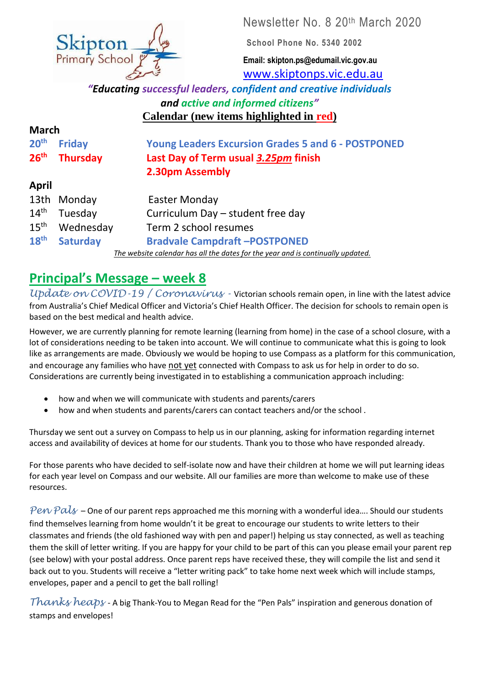

**School Phone No. 5340 2002**

**Email: skipton.ps@edumail.vic.gov.au** [www.skiptonps.vic.edu.au](http://www.skiptonps.vic.edu.au/)

*"Educating successful leaders, confident and creative individuals and active and informed citizens"* **Calendar (new items highlighted in red)**

| <b>March</b>                                                                    |                 |                                                           |
|---------------------------------------------------------------------------------|-----------------|-----------------------------------------------------------|
| 20 <sup>th</sup>                                                                | <b>Friday</b>   | <b>Young Leaders Excursion Grades 5 and 6 - POSTPONED</b> |
| 26 <sup>th</sup>                                                                | <b>Thursday</b> | Last Day of Term usual 3.25pm finish                      |
|                                                                                 |                 | 2.30pm Assembly                                           |
| April                                                                           |                 |                                                           |
| 13th                                                                            | Monday          | Easter Monday                                             |
| 14 <sup>th</sup>                                                                | Tuesday         | Curriculum Day - student free day                         |
| $15^{\text{th}}$                                                                | Wednesday       | Term 2 school resumes                                     |
| 18 <sup>th</sup>                                                                | <b>Saturday</b> | <b>Bradvale Campdraft-POSTPONED</b>                       |
| The website calendar has all the dates for the year and is continually updated. |                 |                                                           |

# **Principal's Message – week 8**

*Update on COVID-19 / Coronavirus - Victorian schools remain open, in line with the latest advice* from Australia's Chief Medical Officer and Victoria's Chief Health Officer. The decision for schools to remain open is based on the best medical and health advice.

However, we are currently planning for remote learning (learning from home) in the case of a school closure, with a lot of considerations needing to be taken into account. We will continue to communicate what this is going to look like as arrangements are made. Obviously we would be hoping to use Compass as a platform for this communication, and encourage any families who have not yet connected with Compass to ask us for help in order to do so. Considerations are currently being investigated in to establishing a communication approach including:

- how and when we will communicate with students and parents/carers
- how and when students and parents/carers can contact teachers and/or the school .

Thursday we sent out a survey on Compass to help us in our planning, asking for information regarding internet access and availability of devices at home for our students. Thank you to those who have responded already.

For those parents who have decided to self-isolate now and have their children at home we will put learning ideas for each year level on Compass and our website. All our families are more than welcome to make use of these resources.

Pen Pals – One of our parent reps approached me this morning with a wonderful idea.... Should our students find themselves learning from home wouldn't it be great to encourage our students to write letters to their classmates and friends (the old fashioned way with pen and paper!) helping us stay connected, as well as teaching them the skill of letter writing. If you are happy for your child to be part of this can you please email your parent rep (see below) with your postal address. Once parent reps have received these, they will compile the list and send it back out to you. Students will receive a "letter writing pack" to take home next week which will include stamps, envelopes, paper and a pencil to get the ball rolling!

*Thanks heaps* - A big Thank-You to Megan Read for the "Pen Pals" inspiration and generous donation of stamps and envelopes!

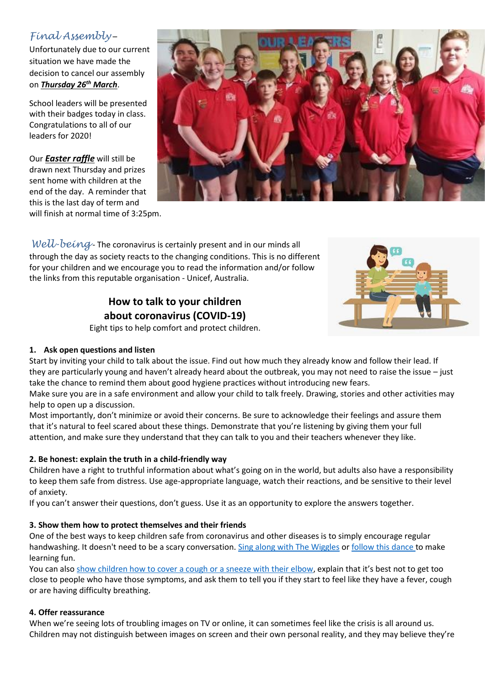### *Final Assembly* –

Unfortunately due to our current situation we have made the decision to cancel our assembly on *Thursday 26th March*.

School leaders will be presented with their badges today in class. Congratulations to all of our leaders for 2020!

Our *Easter raffle* will still be drawn next Thursday and prizes sent home with children at the end of the day. A reminder that this is the last day of term and will finish at normal time of 3:25pm.



*Well-being* - The coronavirus is certainly present and in our minds all through the day as society reacts to the changing conditions. This is no different for your children and we encourage you to read the information and/or follow the links from this reputable organisation - Unicef, Australia.

### **How to talk to your children about coronavirus (COVID-19)**



Eight tips to help comfort and protect children.

#### **1. Ask open questions and listen**

Start by inviting your child to talk about the issue. Find out how much they already know and follow their lead. If they are particularly young and haven't already heard about the outbreak, you may not need to raise the issue – just take the chance to remind them about good hygiene practices without introducing new fears.

Make sure you are in a safe environment and allow your child to talk freely. Drawing, stories and other activities may help to open up a discussion.

Most importantly, don't minimize or avoid their concerns. Be sure to acknowledge their feelings and assure them that it's natural to feel scared about these things. Demonstrate that you're listening by giving them your full attention, and make sure they understand that they can talk to you and their teachers whenever they like.

#### **2. Be honest: explain the truth in a child-friendly way**

Children have a right to truthful information about what's going on in the world, but adults also have a responsibility to keep them safe from distress. Use age-appropriate language, watch their reactions, and be sensitive to their level of anxiety.

If you can't answer their questions, don't guess. Use it as an opportunity to explore the answers together.

#### **3. Show them how to protect themselves and their friends**

One of the best ways to keep children safe from coronavirus and other diseases is to simply encourage regular handwashing. It doesn't need to be a scary conversation. [Sing along with The Wiggles](https://www.facebook.com/thewiggles/videos/590854655103487/UzpfSTE5NTUzODUzMjQ1NjoxMDE1ODAyNDY1NTM0MjQ1Nw/) or [follow this dance](https://www.facebook.com/unicef/posts/199220537813698) to make learning fun.

You can also show children how to [cover a cough or a sneeze with their elbow](https://www.unicef.org/stories/novel-coronavirus-outbreak-what-parents-should-know#how-can-avoid-risk-infection), explain that it's best not to get too close to people who have those symptoms, and ask them to tell you if they start to feel like they have a fever, cough or are having difficulty breathing.

#### **4. Offer reassurance**

When we're seeing lots of troubling images on TV or online, it can sometimes feel like the crisis is all around us. Children may not distinguish between images on screen and their own personal reality, and they may believe they're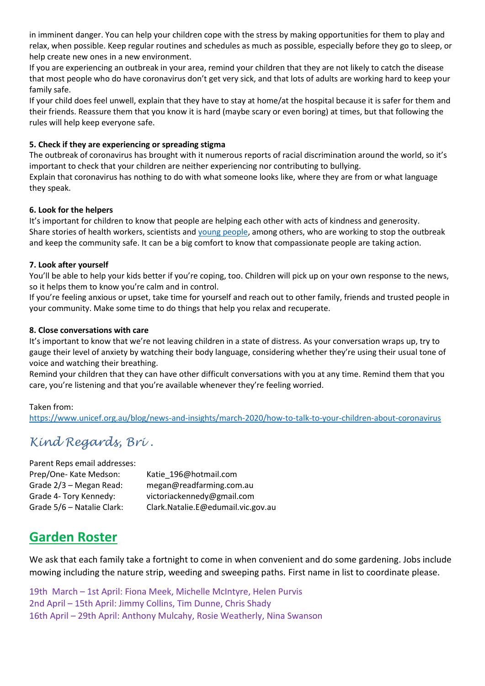in imminent danger. You can help your children cope with the stress by making opportunities for them to play and relax, when possible. Keep regular routines and schedules as much as possible, especially before they go to sleep, or help create new ones in a new environment.

If you are experiencing an outbreak in your area, remind your children that they are not likely to catch the disease that most people who do have coronavirus don't get very sick, and that lots of adults are working hard to keep your family safe.

If your child does feel unwell, explain that they have to stay at home/at the hospital because it is safer for them and their friends. Reassure them that you know it is hard (maybe scary or even boring) at times, but that following the rules will help keep everyone safe.

#### **5. Check if they are experiencing or spreading stigma**

The outbreak of coronavirus has brought with it numerous reports of racial discrimination around the world, so it's important to check that your children are neither experiencing nor contributing to bullying.

Explain that coronavirus has nothing to do with what someone looks like, where they are from or what language they speak.

#### **6. Look for the helpers**

It's important for children to know that people are helping each other with acts of kindness and generosity. Share stories of health workers, scientists and [young people,](https://www.voicesofyouth.org/covid-19-your-voices-against-stigma-and-discrimination) among others, who are working to stop the outbreak and keep the community safe. It can be a big comfort to know that compassionate people are taking action.

#### **7. Look after yourself**

You'll be able to help your kids better if you're coping, too. Children will pick up on your own response to the news, so it helps them to know you're calm and in control.

If you're feeling anxious or upset, take time for yourself and reach out to other family, friends and trusted people in your community. Make some time to do things that help you relax and recuperate.

#### **8. Close conversations with care**

It's important to know that we're not leaving children in a state of distress. As your conversation wraps up, try to gauge their level of anxiety by watching their body language, considering whether they're using their usual tone of voice and watching their breathing.

Remind your children that they can have other difficult conversations with you at any time. Remind them that you care, you're listening and that you're available whenever they're feeling worried.

#### Taken from:

<https://www.unicef.org.au/blog/news-and-insights/march-2020/how-to-talk-to-your-children-about-coronavirus>

## *Kind Regards, Bri .*

Parent Reps email addresses: Prep/One- Kate Medson: Katie 196@hotmail.com Grade 2/3 – Megan Read: megan@readfarming.com.au Grade 4- Tory Kennedy: victoriackennedy@gmail.com Grade 5/6 – Natalie Clark: Clark.Natalie.E@edumail.vic.gov.au

# **Garden Roster**

We ask that each family take a fortnight to come in when convenient and do some gardening. Jobs include mowing including the nature strip, weeding and sweeping paths. First name in list to coordinate please.

19th March – 1st April: Fiona Meek, Michelle McIntyre, Helen Purvis 2nd April – 15th April: Jimmy Collins, Tim Dunne, Chris Shady 16th April – 29th April: Anthony Mulcahy, Rosie Weatherly, Nina Swanson